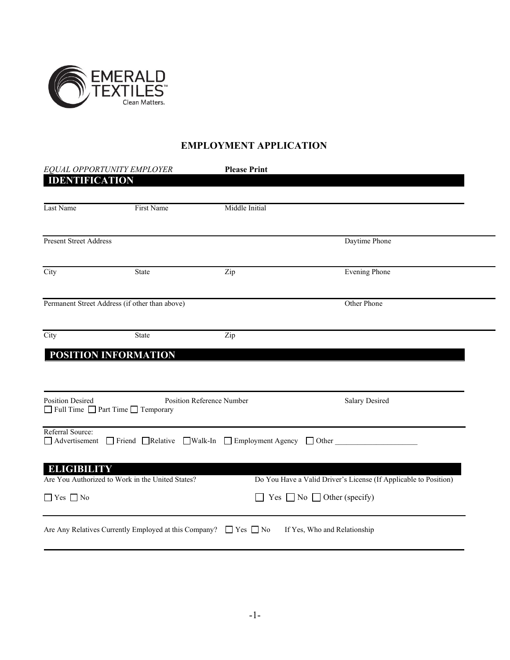

# **EMPLOYMENT APPLICATION**

| EQUAL OPPORTUNITY EMPLOYER                 |                                                       | <b>Please Print</b>                                                       |                                                                                                          |  |  |
|--------------------------------------------|-------------------------------------------------------|---------------------------------------------------------------------------|----------------------------------------------------------------------------------------------------------|--|--|
| <b>IDENTIFICATION</b>                      |                                                       |                                                                           |                                                                                                          |  |  |
| Last Name                                  | First Name                                            | Middle Initial                                                            |                                                                                                          |  |  |
| <b>Present Street Address</b>              |                                                       |                                                                           | Daytime Phone                                                                                            |  |  |
| City                                       | State                                                 | Zip                                                                       | <b>Evening Phone</b>                                                                                     |  |  |
|                                            | Permanent Street Address (if other than above)        |                                                                           | Other Phone                                                                                              |  |  |
| City                                       | State<br>POSITION INFORMATION                         | Zip                                                                       |                                                                                                          |  |  |
| <b>Position Desired</b>                    | Full Time Part Time Temporary                         | Position Reference Number                                                 | <b>Salary Desired</b>                                                                                    |  |  |
| Referral Source:                           |                                                       | □ Advertisement □ Friend □ Relative □ Walk-In □ Employment Agency □ Other |                                                                                                          |  |  |
| <b>ELIGIBILITY</b><br>$\Box$ Yes $\Box$ No | Are You Authorized to Work in the United States?      |                                                                           | Do You Have a Valid Driver's License (If Applicable to Position)<br>Yes $\Box$ No $\Box$ Other (specify) |  |  |
|                                            | Are Any Relatives Currently Employed at this Company? | $\Box$ Yes $\Box$ No                                                      | If Yes, Who and Relationship                                                                             |  |  |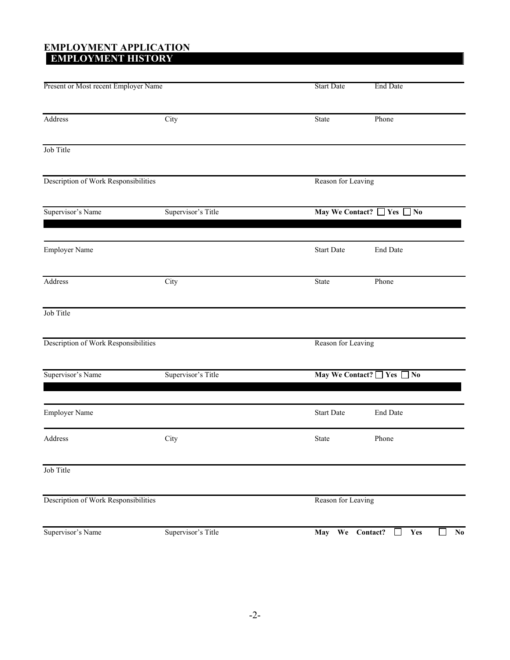#### **EMPLOYMENT APPLICATION EMPLOYMENT HISTORY**

| Present or Most recent Employer Name    |                    | <b>Start Date</b>          | <b>End Date</b>                       |  |  |
|-----------------------------------------|--------------------|----------------------------|---------------------------------------|--|--|
| Address                                 | City               | State                      | Phone                                 |  |  |
| Job Title                               |                    |                            |                                       |  |  |
| Description of Work Responsibilities    |                    | Reason for Leaving         |                                       |  |  |
| Supervisor's Name<br>Supervisor's Title |                    | May We Contact? □ Yes □ No |                                       |  |  |
| Employer Name                           |                    | <b>Start Date</b>          | End Date                              |  |  |
| Address                                 | City               | State                      | Phone                                 |  |  |
| Job Title                               |                    |                            |                                       |  |  |
| Description of Work Responsibilities    |                    | Reason for Leaving         |                                       |  |  |
| Supervisor's Name<br>Supervisor's Title |                    | May We Contact? Nes No     |                                       |  |  |
| Employer Name                           |                    | <b>Start Date</b>          | End Date                              |  |  |
| Address                                 | City               | State                      | Phone                                 |  |  |
| Job Title                               |                    |                            |                                       |  |  |
| Description of Work Responsibilities    |                    |                            | Reason for Leaving                    |  |  |
| Supervisor's Name                       | Supervisor's Title | May We Contact?            | Yes<br>N <sub>0</sub><br>$\mathsf{L}$ |  |  |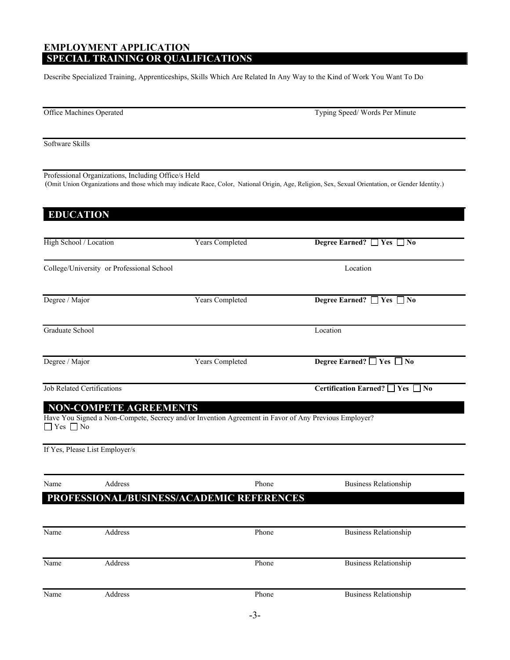## **EMPLOYMENT APPLICATION SPECIAL TRAINING OR QUALIFICATIONS**

Describe Specialized Training, Apprenticeships, Skills Which Are Related In Any Way to the Kind of Work You Want To Do

| Office Machines Operated       |                                                     |                                           | Typing Speed/Words Per Minute                                                                                                                     |  |
|--------------------------------|-----------------------------------------------------|-------------------------------------------|---------------------------------------------------------------------------------------------------------------------------------------------------|--|
| Software Skills                |                                                     |                                           |                                                                                                                                                   |  |
|                                | Professional Organizations, Including Office/s Held |                                           | (Omit Union Organizations and those which may indicate Race, Color, National Origin, Age, Religion, Sex, Sexual Orientation, or Gender Identity.) |  |
| <b>EDUCATION</b>               |                                                     |                                           |                                                                                                                                                   |  |
| High School / Location         |                                                     | <b>Years Completed</b>                    | Degree Earned? □ Yes □ No                                                                                                                         |  |
|                                | College/University or Professional School           |                                           | Location                                                                                                                                          |  |
| Degree / Major                 |                                                     | Years Completed                           | Degree Earned? $\Box$ Yes $\Box$ No                                                                                                               |  |
| Graduate School                |                                                     |                                           | Location                                                                                                                                          |  |
| Degree / Major                 |                                                     | Years Completed                           | Degree Earned? □ Yes □ No                                                                                                                         |  |
| Job Related Certifications     |                                                     |                                           | Certification Earned? □ Yes □ No                                                                                                                  |  |
| $\Box$ Yes $\Box$ No           | <b>NON-COMPETE AGREEMENTS</b>                       |                                           | Have You Signed a Non-Compete, Secrecy and/or Invention Agreement in Favor of Any Previous Employer?                                              |  |
| If Yes, Please List Employer/s |                                                     |                                           |                                                                                                                                                   |  |
| Name                           | Address                                             | Phone                                     | <b>Business Relationship</b>                                                                                                                      |  |
|                                |                                                     | PROFESSIONAL/BUSINESS/ACADEMIC REFERENCES |                                                                                                                                                   |  |
| Name                           | Address                                             | Phone                                     | <b>Business Relationship</b>                                                                                                                      |  |
| Name                           | Address                                             | Phone                                     | <b>Business Relationship</b>                                                                                                                      |  |
| Name                           | Address                                             | Phone                                     | <b>Business Relationship</b>                                                                                                                      |  |
|                                |                                                     |                                           |                                                                                                                                                   |  |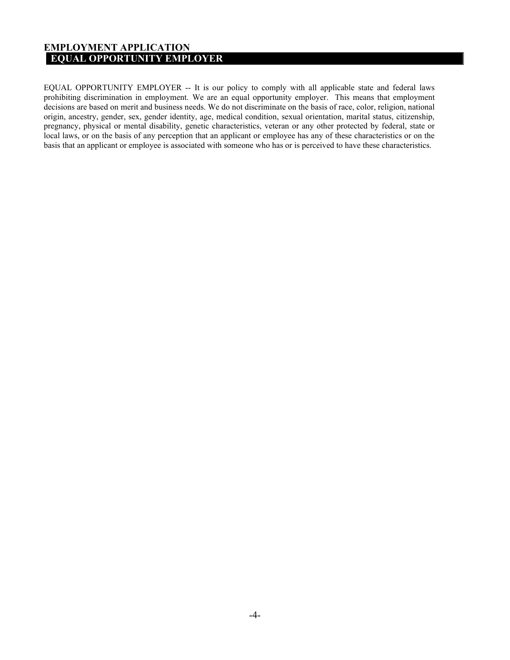#### **EMPLOYMENT APPLICATION EQUAL OPPORTUNITY EMPLOYER**

EQUAL OPPORTUNITY EMPLOYER -- It is our policy to comply with all applicable state and federal laws prohibiting discrimination in employment. We are an equal opportunity employer. This means that employment decisions are based on merit and business needs. We do not discriminate on the basis of race, color, religion, national origin, ancestry, gender, sex, gender identity, age, medical condition, sexual orientation, marital status, citizenship, pregnancy, physical or mental disability, genetic characteristics, veteran or any other protected by federal, state or local laws, or on the basis of any perception that an applicant or employee has any of these characteristics or on the basis that an applicant or employee is associated with someone who has or is perceived to have these characteristics.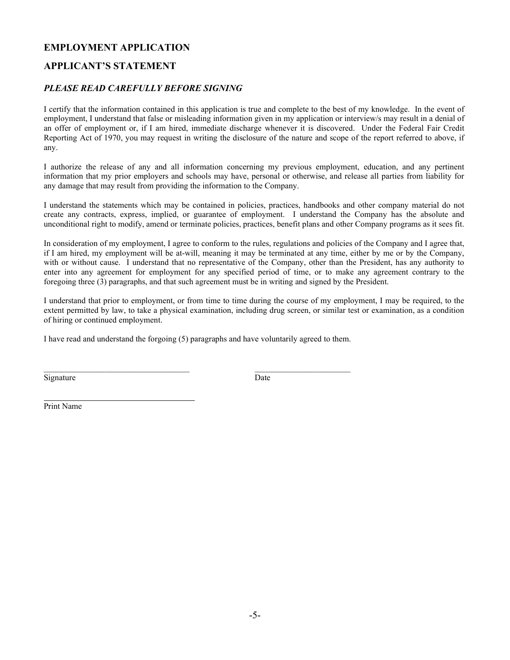## **EMPLOYMENT APPLICATION**

## **APPLICANT'S STATEMENT**

#### *PLEASE READ CAREFULLY BEFORE SIGNING*

I certify that the information contained in this application is true and complete to the best of my knowledge. In the event of employment, I understand that false or misleading information given in my application or interview/s may result in a denial of an offer of employment or, if I am hired, immediate discharge whenever it is discovered. Under the Federal Fair Credit Reporting Act of 1970, you may request in writing the disclosure of the nature and scope of the report referred to above, if any.

I authorize the release of any and all information concerning my previous employment, education, and any pertinent information that my prior employers and schools may have, personal or otherwise, and release all parties from liability for any damage that may result from providing the information to the Company.

I understand the statements which may be contained in policies, practices, handbooks and other company material do not create any contracts, express, implied, or guarantee of employment. I understand the Company has the absolute and unconditional right to modify, amend or terminate policies, practices, benefit plans and other Company programs as it sees fit.

In consideration of my employment, I agree to conform to the rules, regulations and policies of the Company and I agree that, if I am hired, my employment will be at-will, meaning it may be terminated at any time, either by me or by the Company, with or without cause. I understand that no representative of the Company, other than the President, has any authority to enter into any agreement for employment for any specified period of time, or to make any agreement contrary to the foregoing three (3) paragraphs, and that such agreement must be in writing and signed by the President.

I understand that prior to employment, or from time to time during the course of my employment, I may be required, to the extent permitted by law, to take a physical examination, including drug screen, or similar test or examination, as a condition of hiring or continued employment.

I have read and understand the forgoing (5) paragraphs and have voluntarily agreed to them.

Signature Date

\_\_\_\_\_\_\_\_\_\_\_\_\_\_\_\_\_\_\_\_\_\_\_\_\_\_\_\_\_\_\_\_\_\_\_ \_\_\_\_\_\_\_\_\_\_\_\_\_\_\_\_\_\_\_\_\_\_\_

Print Name